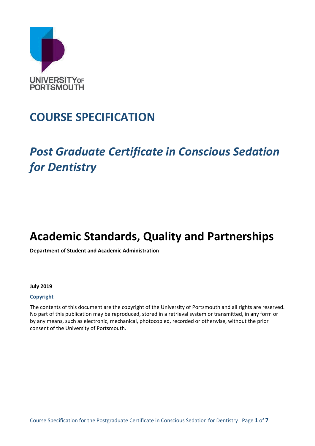

# **COURSE SPECIFICATION**

# *Post Graduate Certificate in Conscious Sedation for Dentistry*

# **Academic Standards, Quality and Partnerships**

**Department of Student and Academic Administration**

#### **July 2019**

### **Copyright**

The contents of this document are the copyright of the University of Portsmouth and all rights are reserved. No part of this publication may be reproduced, stored in a retrieval system or transmitted, in any form or by any means, such as electronic, mechanical, photocopied, recorded or otherwise, without the prior consent of the University of Portsmouth.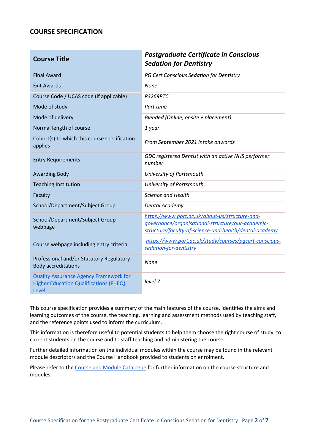## **COURSE SPECIFICATION**

| <b>Course Title</b>                                                                                     | <b>Postgraduate Certificate in Conscious</b><br><b>Sedation for Dentistry</b>                                                                                 |
|---------------------------------------------------------------------------------------------------------|---------------------------------------------------------------------------------------------------------------------------------------------------------------|
| <b>Final Award</b>                                                                                      | PG Cert Conscious Sedation for Dentistry                                                                                                                      |
| <b>Exit Awards</b>                                                                                      | <b>None</b>                                                                                                                                                   |
| Course Code / UCAS code (if applicable)                                                                 | <b>P3269PTC</b>                                                                                                                                               |
| Mode of study                                                                                           | Part time                                                                                                                                                     |
| Mode of delivery                                                                                        | Blended (Online, onsite + placement)                                                                                                                          |
| Normal length of course                                                                                 | 1 year                                                                                                                                                        |
| Cohort(s) to which this course specification<br>applies                                                 | From September 2021 intake onwards                                                                                                                            |
| <b>Entry Requirements</b>                                                                               | GDC registered Dentist with an active NHS performer<br>number                                                                                                 |
| <b>Awarding Body</b>                                                                                    | University of Portsmouth                                                                                                                                      |
| <b>Teaching Institution</b>                                                                             | University of Portsmouth                                                                                                                                      |
| Faculty                                                                                                 | Science and Health                                                                                                                                            |
| School/Department/Subject Group                                                                         | Dental Academy                                                                                                                                                |
| School/Department/Subject Group<br>webpage                                                              | https://www.port.ac.uk/about-us/structure-and-<br>qovernance/organisational-structure/our-academic-<br>structure/faculty-of-science-and-health/dental-academy |
| Course webpage including entry criteria                                                                 | https://www.port.ac.uk/study/courses/pacert-conscious-<br>sedation-for-dentistry                                                                              |
| Professional and/or Statutory Regulatory<br><b>Body accreditations</b>                                  | None                                                                                                                                                          |
| <b>Quality Assurance Agency Framework for</b><br><b>Higher Education Qualifications (FHEQ)</b><br>Level | level 7                                                                                                                                                       |

This course specification provides a summary of the main features of the course, identifies the aims and learning outcomes of the course, the teaching, learning and assessment methods used by teaching staff, and the reference points used to inform the curriculum.

This information is therefore useful to potential students to help them choose the right course of study, to current students on the course and to staff teaching and administering the course.

Further detailed information on the individual modules within the course may be found in the relevant module descriptors and the Course Handbook provided to students on enrolment.

Please refer to the [Course and Module Catalogue](https://course-module-catalog.port.ac.uk/#/welcome) for further information on the course structure and modules.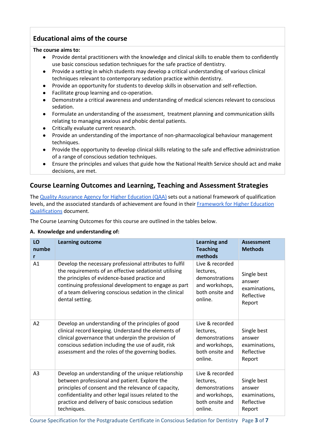# **Educational aims of the course**

### **The course aims to:**

- Provide dental practitioners with the knowledge and clinical skills to enable them to confidently use basic conscious sedation techniques for the safe practice of dentistry.
- Provide a setting in which students may develop a critical understanding of various clinical techniques relevant to contemporary sedation practice within dentistry.
- Provide an opportunity for students to develop skills in observation and self-reflection.
- Facilitate group learning and co-operation.
- Demonstrate a critical awareness and understanding of medical sciences relevant to conscious sedation.
- Formulate an understanding of the assessment, treatment planning and communication skills relating to managing anxious and phobic dental patients.
- Critically evaluate current research.
- Provide an understanding of the importance of non-pharmacological behaviour management techniques.
- Provide the opportunity to develop clinical skills relating to the safe and effective administration of a range of conscious sedation techniques.
- Ensure the principles and values that guide how the National Health Service should act and make decisions, are met.

# **Course Learning Outcomes and Learning, Teaching and Assessment Strategies**

The [Quality Assurance Agency for Higher Education \(QAA\)](http://www.qaa.ac.uk/en) sets out a national framework of qualification levels, and the associated standards of achievement are found in their [Framework for Higher Education](https://www.qaa.ac.uk/quality-code/higher-education-credit-framework-for-england)  [Qualifications](https://www.qaa.ac.uk/quality-code/higher-education-credit-framework-for-england) document.

The Course Learning Outcomes for this course are outlined in the tables below.

## **A. Knowledge and understanding of:**

| LO<br>numbe<br>r | <b>Learning outcome</b>                                                                                                                                                                                                                                                                                   | <b>Learning and</b><br><b>Teaching</b><br>methods                                              | <b>Assessment</b><br><b>Methods</b>                            |
|------------------|-----------------------------------------------------------------------------------------------------------------------------------------------------------------------------------------------------------------------------------------------------------------------------------------------------------|------------------------------------------------------------------------------------------------|----------------------------------------------------------------|
| A <sub>1</sub>   | Develop the necessary professional attributes to fulfil<br>the requirements of an effective sedationist utilising<br>the principles of evidence-based practice and<br>continuing professional development to engage as part<br>of a team delivering conscious sedation in the clinical<br>dental setting. | Live & recorded<br>lectures,<br>demonstrations<br>and workshops,<br>both onsite and<br>online. | Single best<br>answer<br>examinations,<br>Reflective<br>Report |
| A <sub>2</sub>   | Develop an understanding of the principles of good<br>clinical record keeping. Understand the elements of<br>clinical governance that underpin the provision of<br>conscious sedation including the use of audit, risk<br>assessment and the roles of the governing bodies.                               | Live & recorded<br>lectures,<br>demonstrations<br>and workshops,<br>both onsite and<br>online. | Single best<br>answer<br>examinations,<br>Reflective<br>Report |
| A <sub>3</sub>   | Develop an understanding of the unique relationship<br>between professional and patient. Explore the<br>principles of consent and the relevance of capacity,<br>confidentiality and other legal issues related to the<br>practice and delivery of basic conscious sedation<br>techniques.                 | Live & recorded<br>lectures,<br>demonstrations<br>and workshops,<br>both onsite and<br>online. | Single best<br>answer<br>examinations,<br>Reflective<br>Report |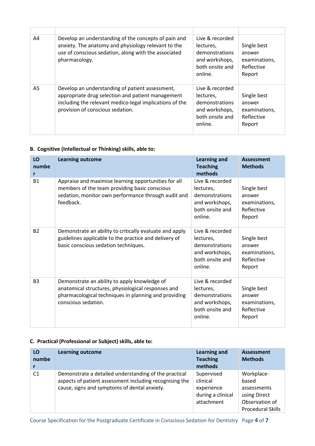| A4 | Develop an understanding of the concepts of pain and<br>anxiety. The anatomy and physiology relevant to the<br>use of conscious sedation, along with the associated<br>pharmacology.                | Live & recorded<br>lectures.<br>demonstrations<br>and workshops,<br>both onsite and<br>online. | Single best<br>answer<br>examinations,<br>Reflective<br>Report |
|----|-----------------------------------------------------------------------------------------------------------------------------------------------------------------------------------------------------|------------------------------------------------------------------------------------------------|----------------------------------------------------------------|
| A5 | Develop an understanding of patient assessment,<br>appropriate drug selection and patient management<br>including the relevant medico-legal implications of the<br>provision of conscious sedation. | Live & recorded<br>lectures,<br>demonstrations<br>and workshops,<br>both onsite and<br>online. | Single best<br>answer<br>examinations,<br>Reflective<br>Report |

## **B. Cognitive (Intellectual or Thinking) skills, able to:**

| LO<br>numbe<br>r | <b>Learning outcome</b>                                                                                                                                                           | <b>Learning and</b><br><b>Teaching</b><br>methods                                              | <b>Assessment</b><br><b>Methods</b>                            |
|------------------|-----------------------------------------------------------------------------------------------------------------------------------------------------------------------------------|------------------------------------------------------------------------------------------------|----------------------------------------------------------------|
| <b>B1</b>        | Appraise and maximise learning opportunities for all<br>members of the team providing basic conscious<br>sedation, monitor own performance through audit and<br>feedback.         | Live & recorded<br>lectures.<br>demonstrations<br>and workshops,<br>both onsite and<br>online. | Single best<br>answer<br>examinations,<br>Reflective<br>Report |
| <b>B2</b>        | Demonstrate an ability to critically evaluate and apply<br>guidelines applicable to the practice and delivery of<br>basic conscious sedation techniques.                          | Live & recorded<br>lectures,<br>demonstrations<br>and workshops,<br>both onsite and<br>online. | Single best<br>answer<br>examinations,<br>Reflective<br>Report |
| <b>B3</b>        | Demonstrate an ability to apply knowledge of<br>anatomical structures, physiological responses and<br>pharmacological techniques in planning and providing<br>conscious sedation. | Live & recorded<br>lectures,<br>demonstrations<br>and workshops,<br>both onsite and<br>online. | Single best<br>answer<br>examinations,<br>Reflective<br>Report |

## **C. Practical (Professional or Subject) skills, able to:**

| LO<br>numbe    | <b>Learning outcome</b>                                                                                                                                          | <b>Learning and</b><br><b>Teaching</b>                                  | <b>Assessment</b><br><b>Methods</b>                                                              |
|----------------|------------------------------------------------------------------------------------------------------------------------------------------------------------------|-------------------------------------------------------------------------|--------------------------------------------------------------------------------------------------|
|                |                                                                                                                                                                  | methods                                                                 |                                                                                                  |
| C <sub>1</sub> | Demonstrate a detailed understanding of the practical<br>aspects of patient assessment including recognising the<br>cause, signs and symptoms of dental anxiety. | Supervised<br>clinical<br>experience<br>during a clinical<br>attachment | Workplace-<br>based<br>assessments<br>using Direct<br>Observation of<br><b>Procedural Skills</b> |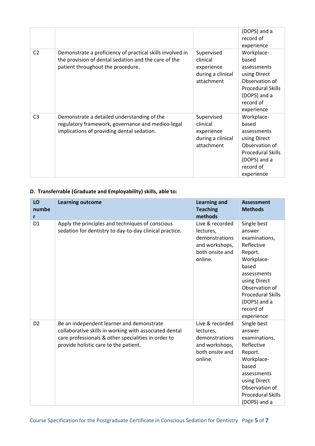|                |                                                                                                                                                        |                                                                         | (DOPS) and a<br>record of<br>experience                                                                                                     |
|----------------|--------------------------------------------------------------------------------------------------------------------------------------------------------|-------------------------------------------------------------------------|---------------------------------------------------------------------------------------------------------------------------------------------|
| C <sub>2</sub> | Demonstrate a proficiency of practical skills involved in<br>the provision of dental sedation and the care of the<br>patient throughout the procedure. | Supervised<br>clinical<br>experience<br>during a clinical<br>attachment | Workplace-<br>based<br>assessments<br>using Direct<br>Observation of<br><b>Procedural Skills</b><br>(DOPS) and a<br>record of<br>experience |
| C <sub>3</sub> | Demonstrate a detailed understanding of the<br>regulatory framework, governance and medico-legal<br>implications of providing dental sedation.         | Supervised<br>clinical<br>experience<br>during a clinical<br>attachment | Workplace-<br>based<br>assessments<br>using Direct<br>Observation of<br><b>Procedural Skills</b><br>(DOPS) and a<br>record of<br>experience |

## **D. Transferrable (Graduate and Employability) skills, able to:**

| LO<br>numbe<br>r | <b>Learning outcome</b>                                                                                                                                                                             | <b>Learning and</b><br><b>Teaching</b><br>methods                                              | <b>Assessment</b><br><b>Methods</b>                                                                                                                                                                            |
|------------------|-----------------------------------------------------------------------------------------------------------------------------------------------------------------------------------------------------|------------------------------------------------------------------------------------------------|----------------------------------------------------------------------------------------------------------------------------------------------------------------------------------------------------------------|
| D <sub>1</sub>   | Apply the principles and techniques of conscious<br>sedation for dentistry to day-to-day clinical practice.                                                                                         | Live & recorded<br>lectures,<br>demonstrations<br>and workshops,<br>both onsite and<br>online. | Single best<br>answer<br>examinations,<br>Reflective<br>Report.<br>Workplace-<br>based<br>assessments<br>using Direct<br>Observation of<br><b>Procedural Skills</b><br>(DOPS) and a<br>record of<br>experience |
| D <sub>2</sub>   | Be an independent learner and demonstrate<br>collaborative skills in working with associated dental<br>care professionals & other specialities in order to<br>provide holistic care to the patient. | Live & recorded<br>lectures,<br>demonstrations<br>and workshops,<br>both onsite and<br>online. | Single best<br>answer<br>examinations,<br>Reflective<br>Report.<br>Workplace-<br>based<br>assessments<br>using Direct<br>Observation of<br><b>Procedural Skills</b><br>(DOPS) and a                            |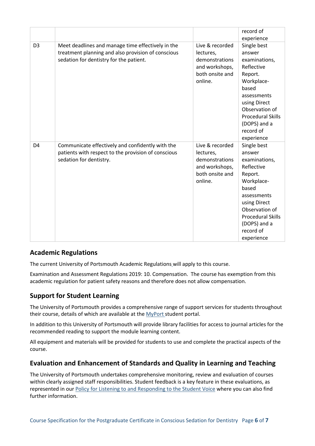|                |                                                                                                                                                    |                                                                                                | record of<br>experience                                                                                                                                                                                        |
|----------------|----------------------------------------------------------------------------------------------------------------------------------------------------|------------------------------------------------------------------------------------------------|----------------------------------------------------------------------------------------------------------------------------------------------------------------------------------------------------------------|
| D <sub>3</sub> | Meet deadlines and manage time effectively in the<br>treatment planning and also provision of conscious<br>sedation for dentistry for the patient. | Live & recorded<br>lectures,<br>demonstrations<br>and workshops,<br>both onsite and<br>online. | Single best<br>answer<br>examinations,<br>Reflective<br>Report.<br>Workplace-<br>based<br>assessments<br>using Direct<br>Observation of<br><b>Procedural Skills</b><br>(DOPS) and a<br>record of<br>experience |
| D <sub>4</sub> | Communicate effectively and confidently with the<br>patients with respect to the provision of conscious<br>sedation for dentistry.                 | Live & recorded<br>lectures,<br>demonstrations<br>and workshops,<br>both onsite and<br>online. | Single best<br>answer<br>examinations,<br>Reflective<br>Report.<br>Workplace-<br>based<br>assessments<br>using Direct<br>Observation of<br><b>Procedural Skills</b><br>(DOPS) and a<br>record of<br>experience |

## **Academic Regulations**

The current University of Portsmouth Academic Regulations will apply to this course.

Examination and Assessment Regulations 2019: 10. Compensation. The course has exemption from this academic regulation for patient safety reasons and therefore does not allow compensation.

## **Support for Student Learning**

The University of Portsmouth provides a comprehensive range of support services for students throughout their course, details of which are available at the [MyPort](http://myport.ac.uk/) student portal.

In addition to this University of Portsmouth will provide library facilities for access to journal articles for the recommended reading to support the module learning content.

All equipment and materials will be provided for students to use and complete the practical aspects of the course.

## **Evaluation and Enhancement of Standards and Quality in Learning and Teaching**

The University of Portsmouth undertakes comprehensive monitoring, review and evaluation of courses within clearly assigned staff responsibilities. Student feedback is a key feature in these evaluations, as represented in our [Policy for Listening to and Responding to the Student Voice](http://policies.docstore.port.ac.uk/policy-069.pdf) where you can also find further information.